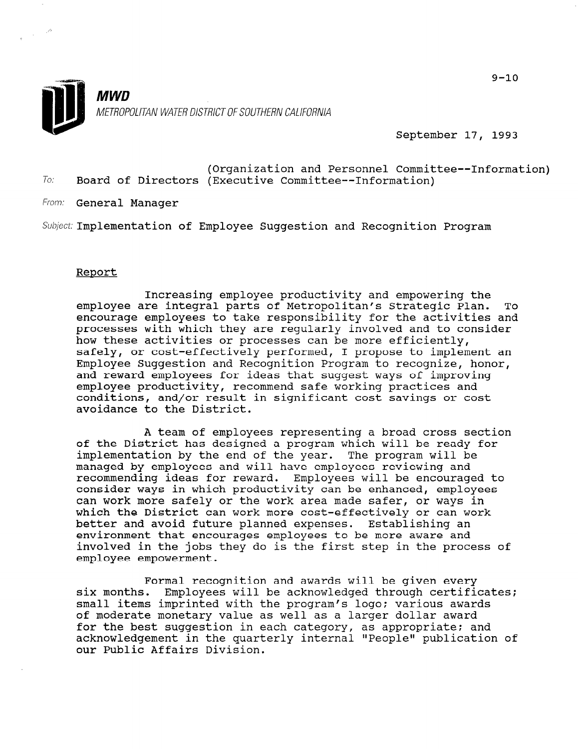

September 17, 1993

To: (Organization and Personnel Committee--Information) Board of Directors (Executive Committee--Information)

From: **General Manager** 

Subject: Implementation of Employee Suggestion and Recognition Program

## Report

Increasing employee productivity and empowering the employee are integral parts of Metropolitan's Strategic Plan. To encourage employees to take responsibility for the activities and processes with which they are regularly involved and to consider how these activities or processes can be more efficiently, safely, or cost-effectively performed, I propose to implement an Employee Suggestion and Recognition Program to recognize, honor, and reward employees for ideas that suggest ways of improving employee productivity, recommend safe working practices and conditions, and/or result in significant cost savings or cost avoidance to the District.

A team of employees representing a broad cross section of the District has designed a program which will be ready for implementation by the end of the year. The program will be managed by employees and will have employees reviewing and recommending ideas for reward. Employees will be encouraged to consider ways in which productivity can be enhanced, employees can work more safely or the work area made safer, or ways in which the District can work more cost-effectively or can work better and avoid future planned expenses. Establishing an environment that encourages employees to be more aware and involved in the jobs they do is the first step in the process of employee empowerment.

Formal recognition and awards will be given every rormai recognition and awards will be given every<br>six months. Employees will be acknowledged through certific six months. Employees will be acknowledged through certificates;<br>small items imprinted with the program's logo; various awards of moderate monetary value as well as a larger dollar award of moderate monetary value as well as a farger dollar award for the best suggestion in each category, as appropriate; and acknowledgement in the quarterly internal "People" publication of<br>our Public Affairs Division.